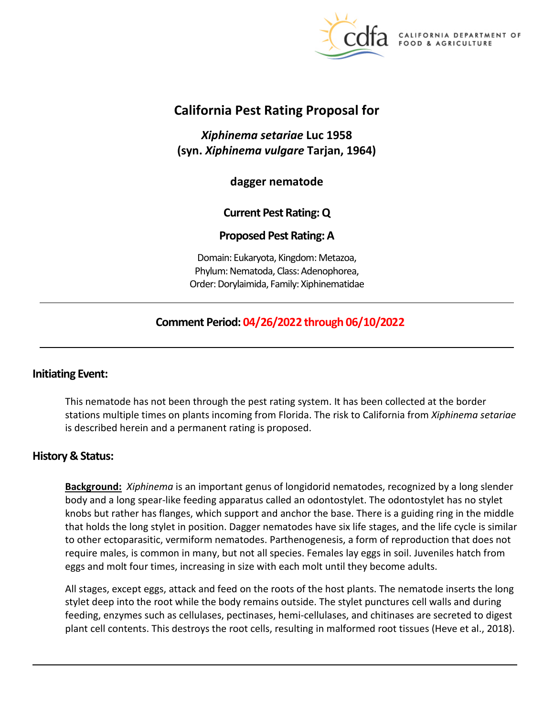

DEPARTMENT OF FOOD & AGRICULTURE

# **California Pest Rating Proposal for**

*Xiphinema setariae* **Luc 1958 (syn.** *Xiphinema vulgare* **Tarjan, 1964)** 

**dagger nematode** 

# **Current Pest Rating: Q**

## **Proposed Pest Rating: A**

Domain: Eukaryota, Kingdom: Metazoa, Phylum: Nematoda, Class: Adenophorea, Order: Dorylaimida, Family: Xiphinematidae

# **Comment Period: 04/26/2022 through 06/10/2022**

## **Initiating Event:**

This nematode has not been through the pest rating system. It has been collected at the border stations multiple times on plants incoming from Florida. The risk to California from *Xiphinema setariae*  is described herein and a permanent rating is proposed.

## **History & Status:**

**Background:** *Xiphinema* is an important genus of longidorid nematodes, recognized by a long slender body and a long spear-like feeding apparatus called an odontostylet. The odontostylet has no stylet knobs but rather has flanges, which support and anchor the base. There is a guiding ring in the middle that holds the long stylet in position. Dagger nematodes have six life stages, and the life cycle is similar to other ectoparasitic, vermiform nematodes. Parthenogenesis, a form of reproduction that does not require males, is common in many, but not all species. Females lay eggs in soil. Juveniles hatch from eggs and molt four times, increasing in size with each molt until they become adults.

All stages, except eggs, attack and feed on the roots of the host plants. The nematode inserts the long stylet deep into the root while the body remains outside. The stylet punctures cell walls and during feeding, enzymes such as cellulases, pectinases, hemi-cellulases, and chitinases are secreted to digest plant cell contents. This destroys the root cells, resulting in malformed root tissues (Heve et al., 2018).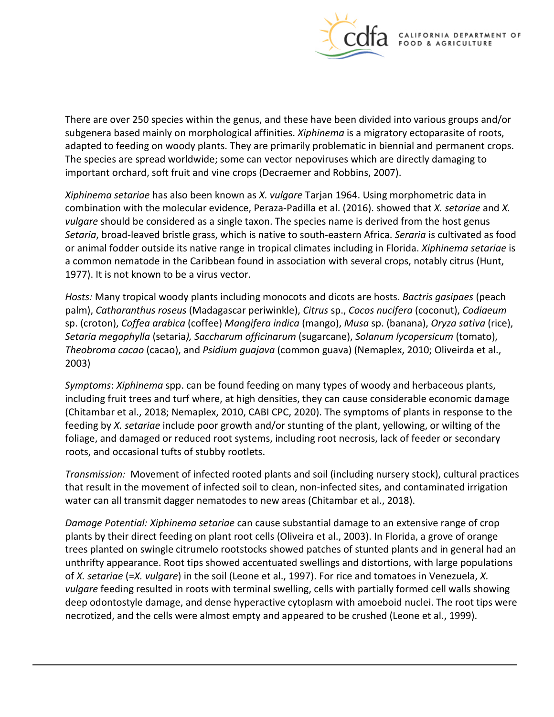

There are over 250 species within the genus, and these have been divided into various groups and/or subgenera based mainly on morphological affinities. *Xiphinema* is a migratory ectoparasite of roots, adapted to feeding on woody plants. They are primarily problematic in biennial and permanent crops. The species are spread worldwide; some can vector nepoviruses which are directly damaging to important orchard, soft fruit and vine crops (Decraemer and Robbins, 2007).

*Xiphinema setariae* has also been known as *X. vulgare* Tarjan 1964. Using morphometric data in combination with the molecular evidence, Peraza-Padilla et al. (2016). showed that *X. setariae* and *X. vulgare* should be considered as a single taxon. The species name is derived from the host genus *Setaria*, broad-leaved bristle grass, which is native to south-eastern Africa. *Seraria* is cultivated as food or animal fodder outside its native range in tropical climates including in Florida. *Xiphinema setariae* is a common nematode in the Caribbean found in association with several crops, notably citrus (Hunt, 1977). It is not known to be a virus vector.

*Hosts:* Many tropical woody plants including monocots and dicots are hosts. *Bactris gasipaes* (peach palm), *Catharanthus roseus* (Madagascar periwinkle), *Citrus* sp., *Cocos nucifera* (coconut), *Codiaeum*  sp. (croton), *Coffea arabica* (coffee) *Mangifera indica* (mango), *Musa* sp. (banana), *Oryza sativa* (rice), *Setaria megaphylla* (setaria*), Saccharum officinarum* (sugarcane), *Solanum lycopersicum* (tomato), *Theobroma cacao* (cacao), and *Psidium guajava* (common guava) (Nemaplex, 2010; Oliveirda et al., 2003)

*Symptoms*: *Xiphinema* spp. can be found feeding on many types of woody and herbaceous plants, including fruit trees and turf where, at high densities, they can cause considerable economic damage (Chitambar et al., 2018; Nemaplex, 2010, CABI CPC, 2020). The symptoms of plants in response to the feeding by *X. setariae* include poor growth and/or stunting of the plant, yellowing, or wilting of the foliage, and damaged or reduced root systems, including root necrosis, lack of feeder or secondary roots, and occasional tufts of stubby rootlets.

*Transmission:* Movement of infected rooted plants and soil (including nursery stock), cultural practices that result in the movement of infected soil to clean, non-infected sites, and contaminated irrigation water can all transmit dagger nematodes to new areas (Chitambar et al., 2018).

*Damage Potential: Xiphinema setariae* can cause substantial damage to an extensive range of crop plants by their direct feeding on plant root cells (Oliveira et al., 2003). In Florida, a grove of orange trees planted on swingle citrumelo rootstocks showed patches of stunted plants and in general had an unthrifty appearance. Root tips showed accentuated swellings and distortions, with large populations of *X. setariae* (=*X. vulgare*) in the soil (Leone et al., 1997). For rice and tomatoes in Venezuela, *X. vulgare* feeding resulted in roots with terminal swelling, cells with partially formed cell walls showing deep odontostyle damage, and dense hyperactive cytoplasm with amoeboid nuclei. The root tips were necrotized, and the cells were almost empty and appeared to be crushed (Leone et al., 1999).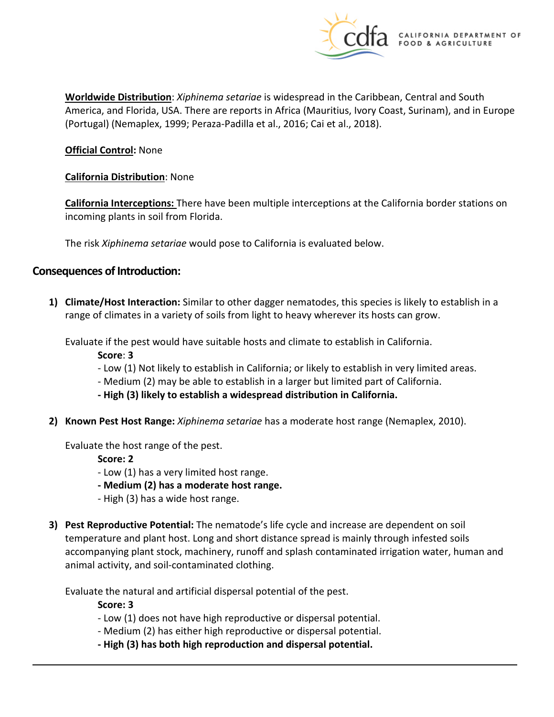

**Worldwide Distribution**: *Xiphinema setariae* is widespread in the Caribbean, Central and South America, and Florida, USA. There are reports in Africa (Mauritius, Ivory Coast, Surinam), and in Europe (Portugal) (Nemaplex, 1999; Peraza-Padilla et al., 2016; Cai et al., 2018).

#### **Official Control:** None

#### **California Distribution**: None

**California Interceptions:** There have been multiple interceptions at the California border stations on incoming plants in soil from Florida.

The risk *Xiphinema setariae* would pose to California is evaluated below.

#### **Consequences of Introduction:**

**1) Climate/Host Interaction:** Similar to other dagger nematodes, this species is likely to establish in a range of climates in a variety of soils from light to heavy wherever its hosts can grow.

Evaluate if the pest would have suitable hosts and climate to establish in California.

**Score**: **3** 

- Low (1) Not likely to establish in California; or likely to establish in very limited areas.
- Medium (2) may be able to establish in a larger but limited part of California.
- **- High (3) likely to establish a widespread distribution in California.**
- **2) Known Pest Host Range:** *Xiphinema setariae* has a moderate host range (Nemaplex, 2010).

Evaluate the host range of the pest.

**Score: 2** 

- Low (1) has a very limited host range.
- **- Medium (2) has a moderate host range.**
- High (3) has a wide host range.
- **3) Pest Reproductive Potential:** The nematode's life cycle and increase are dependent on soil temperature and plant host. Long and short distance spread is mainly through infested soils accompanying plant stock, machinery, runoff and splash contaminated irrigation water, human and animal activity, and soil-contaminated clothing.

Evaluate the natural and artificial dispersal potential of the pest.

**Score: 3** 

- Low (1) does not have high reproductive or dispersal potential.
- Medium (2) has either high reproductive or dispersal potential.
- **- High (3) has both high reproduction and dispersal potential.**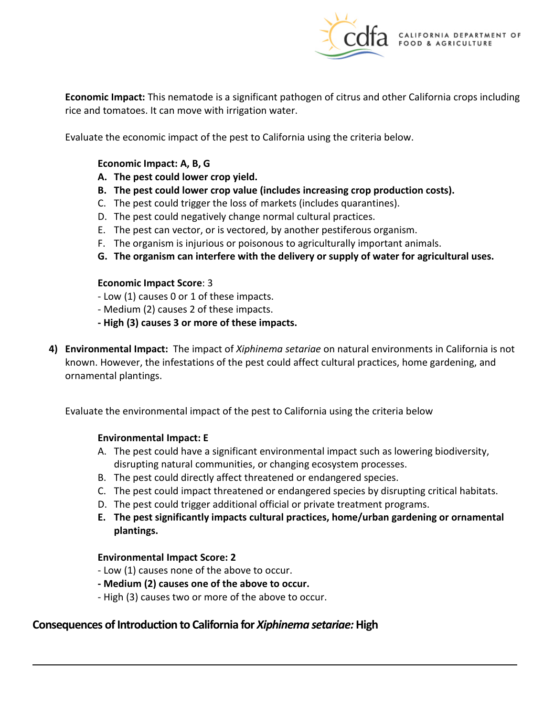

**Economic Impact:** This nematode is a significant pathogen of citrus and other California crops including rice and tomatoes. It can move with irrigation water.

Evaluate the economic impact of the pest to California using the criteria below.

#### **Economic Impact: A, B, G**

- **A. The pest could lower crop yield.**
- **B. The pest could lower crop value (includes increasing crop production costs).**
- C. The pest could trigger the loss of markets (includes quarantines).
- D. The pest could negatively change normal cultural practices.
- E. The pest can vector, or is vectored, by another pestiferous organism.
- F. The organism is injurious or poisonous to agriculturally important animals.
- **G. The organism can interfere with the delivery or supply of water for agricultural uses.**

#### **Economic Impact Score**: 3

- Low (1) causes 0 or 1 of these impacts.
- Medium (2) causes 2 of these impacts.
- **- High (3) causes 3 or more of these impacts.**
- **4) Environmental Impact:** The impact of *Xiphinema setariae* on natural environments in California is not known. However, the infestations of the pest could affect cultural practices, home gardening, and ornamental plantings.

Evaluate the environmental impact of the pest to California using the criteria below

#### **Environmental Impact: E**

- A. The pest could have a significant environmental impact such as lowering biodiversity, disrupting natural communities, or changing ecosystem processes.
- B. The pest could directly affect threatened or endangered species.
- C. The pest could impact threatened or endangered species by disrupting critical habitats.
- D. The pest could trigger additional official or private treatment programs.
- **E. The pest significantly impacts cultural practices, home/urban gardening or ornamental plantings.**

#### **Environmental Impact Score: 2**

- Low (1) causes none of the above to occur.
- **- Medium (2) causes one of the above to occur.**
- High (3) causes two or more of the above to occur.

## **Consequences of Introduction to California for** *Xiphinema setariae:* **High**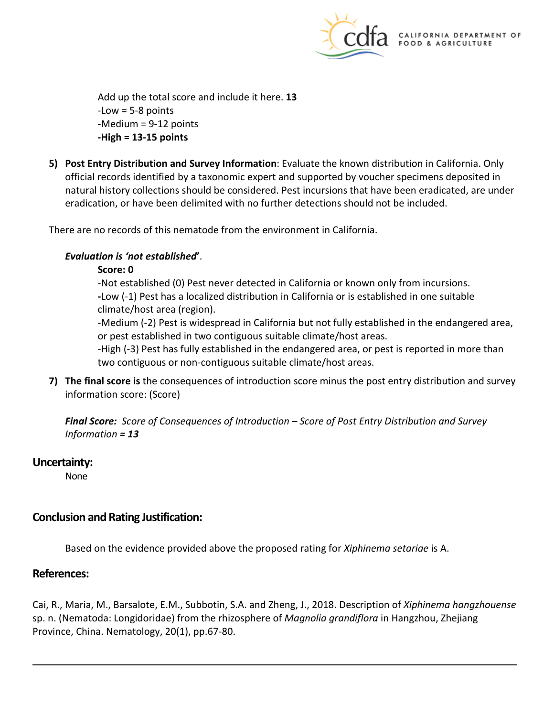

Add up the total score and include it here. **13**  -Low = 5-8 points -Medium = 9-12 points **-High = 13-15 points** 

**5) Post Entry Distribution and Survey Information**: Evaluate the known distribution in California. Only official records identified by a taxonomic expert and supported by voucher specimens deposited in natural history collections should be considered. Pest incursions that have been eradicated, are under eradication, or have been delimited with no further detections should not be included.

There are no records of this nematode from the environment in California.

## *Evaluation is 'not established***'**.

#### **Score: 0**

-Not established (0) Pest never detected in California or known only from incursions. **-**Low (-1) Pest has a localized distribution in California or is established in one suitable climate/host area (region).

-Medium (-2) Pest is widespread in California but not fully established in the endangered area, or pest established in two contiguous suitable climate/host areas.

-High (-3) Pest has fully established in the endangered area, or pest is reported in more than two contiguous or non-contiguous suitable climate/host areas.

**7) The final score is** the consequences of introduction score minus the post entry distribution and survey information score: (Score)

*Final Score: Score of Consequences of Introduction – Score of Post Entry Distribution and Survey Information = 13* 

## **Uncertainty:**

None

## **Conclusion and Rating Justification:**

Based on the evidence provided above the proposed rating for *Xiphinema setariae* is A.

## **References:**

Cai, R., Maria, M., Barsalote, E.M., Subbotin, S.A. and Zheng, J., 2018. Description of *Xiphinema hangzhouense*  sp. n. (Nematoda: Longidoridae) from the rhizosphere of *Magnolia grandiflora* in Hangzhou, Zhejiang Province, China. Nematology, 20(1), pp.67-80.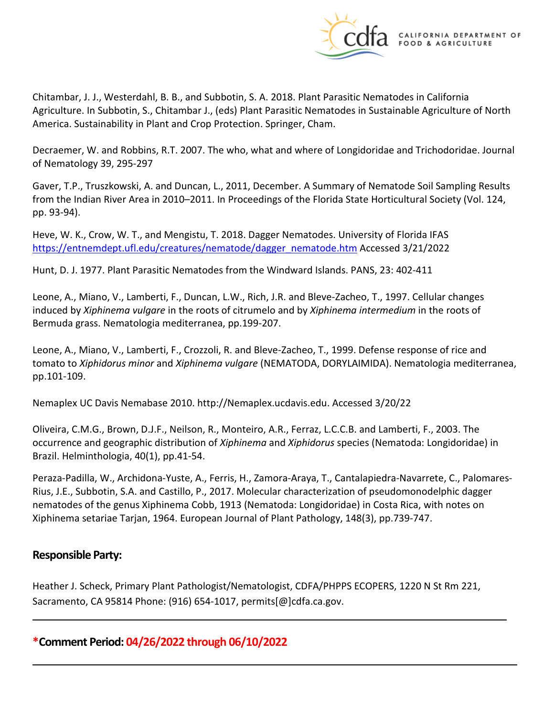

Chitambar, J. J., Westerdahl, B. B., and Subbotin, S. A. 2018. Plant Parasitic Nematodes in California Agriculture. In Subbotin, S., Chitambar J., (eds) Plant Parasitic Nematodes in Sustainable Agriculture of North America. Sustainability in Plant and Crop Protection. Springer, Cham.

Decraemer, W. and Robbins, R.T. 2007. The who, what and where of Longidoridae and Trichodoridae. Journal of Nematology 39, 295-297

Gaver, T.P., Truszkowski, A. and Duncan, L., 2011, December. A Summary of Nematode Soil Sampling Results from the Indian River Area in 2010–2011. In Proceedings of the Florida State Horticultural Society (Vol. 124, pp. 93-94).

Heve, W. K., Crow, W. T., and Mengistu, T. 2018. Dagger Nematodes. University of Florida IFAS [https://entnemdept.ufl.edu/creatures/nematode/dagger\\_nematode.htm](https://entnemdept.ufl.edu/creatures/nematode/dagger_nematode.htm) Accessed 3/21/2022

Hunt, D. J. 1977. Plant Parasitic Nematodes from the Windward Islands. PANS, 23: 402-411

Leone, A., Miano, V., Lamberti, F., Duncan, L.W., Rich, J.R. and Bleve-Zacheo, T., 1997. Cellular changes induced by *Xiphinema vulgare* in the roots of citrumelo and by *Xiphinema intermedium* in the roots of Bermuda grass. Nematologia mediterranea, pp.199-207.

Leone, A., Miano, V., Lamberti, F., Crozzoli, R. and Bleve-Zacheo, T., 1999. Defense response of rice and tomato to *Xiphidorus minor* and *Xiphinema vulgare* (NEMATODA, DORYLAIMIDA). Nematologia mediterranea, pp.101-109.

Nemaplex UC Davis Nemabase 2010.<http://Nemaplex.ucdavis.edu>. Accessed 3/20/22

Oliveira, C.M.G., Brown, D.J.F., Neilson, R., Monteiro, A.R., Ferraz, L.C.C.B. and Lamberti, F., 2003. The occurrence and geographic distribution of *Xiphinema* and *Xiphidorus* species (Nematoda: Longidoridae) in Brazil. Helminthologia, 40(1), pp.41-54.

Peraza-Padilla, W., Archidona-Yuste, A., Ferris, H., Zamora-Araya, T., Cantalapiedra-Navarrete, C., Palomares-Rius, J.E., Subbotin, S.A. and Castillo, P., 2017. Molecular characterization of pseudomonodelphic dagger nematodes of the genus Xiphinema Cobb, 1913 (Nematoda: Longidoridae) in Costa Rica, with notes on Xiphinema setariae Tarjan, 1964. European Journal of Plant Pathology, 148(3), pp.739-747.

## **Responsible Party:**

Heather J. Scheck, Primary Plant Pathologist/Nematologist, CDFA/PHPPS ECOPERS, 1220 N St Rm 221, Sacramento, CA 95814 Phone: (916) 654-1017, [permits\[@\]cdfa.ca.gov](https://permits[@]cdfa.ca.gov).

**\*Comment Period: 04/26/2022 through 06/10/2022**